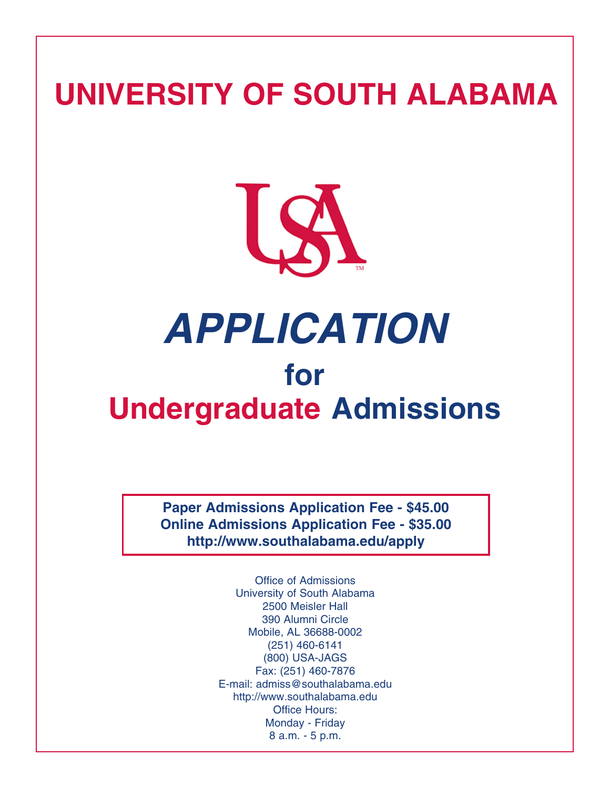## **UNIVERSITY OF SOUTH ALABAMA**



## *APPLICATION*  **for Undergraduate Admissions**

**Paper Admissions Application Fee - \$45.00 Online Admissions Application Fee - \$35.00 http://www.southalabama.edu/apply** 

> Office of Admissions University of South Alabama 2500 Meisler Hall 390 Alumni Circle Mobile, AL 36688-0002 (251) 460-6141 (800) USA-JAGS Fax: (251) 460-7876 E-mail: admiss@southalabama.edu http://www.southalabama.edu Office Hours: Monday - Friday 8 a.m. - 5 p.m.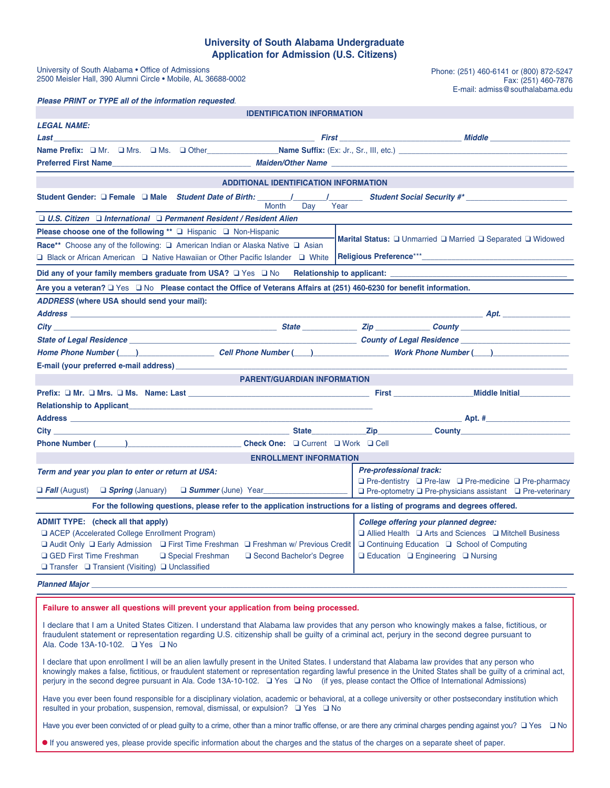## **University of South Alabama Undergraduate Application for Admission (U.S. Citizens)**

| University of South Alabama • Office of Admissions<br>2500 Meisler Hall, 390 Alumni Circle • Mobile, AL 36688-0002                                                                                                                                                                                                                          |                                                                                                                                                                                                          | Phone: (251) 460-6141 or (800) 872-5247<br>Fax: (251) 460-7876<br>E-mail: admiss@southalabama.edu                                                                                                                              |  |  |  |  |
|---------------------------------------------------------------------------------------------------------------------------------------------------------------------------------------------------------------------------------------------------------------------------------------------------------------------------------------------|----------------------------------------------------------------------------------------------------------------------------------------------------------------------------------------------------------|--------------------------------------------------------------------------------------------------------------------------------------------------------------------------------------------------------------------------------|--|--|--|--|
| Please PRINT or TYPE all of the information requested.                                                                                                                                                                                                                                                                                      |                                                                                                                                                                                                          |                                                                                                                                                                                                                                |  |  |  |  |
| <b>IDENTIFICATION INFORMATION</b>                                                                                                                                                                                                                                                                                                           |                                                                                                                                                                                                          |                                                                                                                                                                                                                                |  |  |  |  |
| <b>LEGAL NAME:</b>                                                                                                                                                                                                                                                                                                                          |                                                                                                                                                                                                          |                                                                                                                                                                                                                                |  |  |  |  |
| <u>Last Middle Communications of the Communications of the Communications of the Communications of the Communications of the Communications of the Communications of the Communications of the Communications of the Communicati</u>                                                                                                        |                                                                                                                                                                                                          |                                                                                                                                                                                                                                |  |  |  |  |
|                                                                                                                                                                                                                                                                                                                                             |                                                                                                                                                                                                          |                                                                                                                                                                                                                                |  |  |  |  |
|                                                                                                                                                                                                                                                                                                                                             |                                                                                                                                                                                                          |                                                                                                                                                                                                                                |  |  |  |  |
| <b>ADDITIONAL IDENTIFICATION INFORMATION</b>                                                                                                                                                                                                                                                                                                |                                                                                                                                                                                                          |                                                                                                                                                                                                                                |  |  |  |  |
| Day<br>Year<br>Month                                                                                                                                                                                                                                                                                                                        |                                                                                                                                                                                                          |                                                                                                                                                                                                                                |  |  |  |  |
| □ U.S. Citizen □ International □ Permanent Resident / Resident Alien                                                                                                                                                                                                                                                                        |                                                                                                                                                                                                          |                                                                                                                                                                                                                                |  |  |  |  |
| Please choose one of the following ** □ Hispanic □ Non-Hispanic                                                                                                                                                                                                                                                                             |                                                                                                                                                                                                          |                                                                                                                                                                                                                                |  |  |  |  |
| Marital Status: □ Unmarried □ Married □ Separated □ Widowed<br>Race** Choose any of the following: □ American Indian or Alaska Native □ Asian                                                                                                                                                                                               |                                                                                                                                                                                                          |                                                                                                                                                                                                                                |  |  |  |  |
| □ Black or African American □ Native Hawaiian or Other Pacific Islander □ White                                                                                                                                                                                                                                                             |                                                                                                                                                                                                          |                                                                                                                                                                                                                                |  |  |  |  |
| Did any of your family members graduate from USA? $\Box$ Yes $\Box$ No                                                                                                                                                                                                                                                                      |                                                                                                                                                                                                          | Relationship to applicant: Network and the set of the set of the set of the set of the set of the set of the set of the set of the set of the set of the set of the set of the set of the set of the set of the set of the set |  |  |  |  |
| Are you a veteran? □ Yes □ No Please contact the Office of Veterans Affairs at (251) 460-6230 for benefit information.                                                                                                                                                                                                                      |                                                                                                                                                                                                          |                                                                                                                                                                                                                                |  |  |  |  |
| ADDRESS (where USA should send your mail):                                                                                                                                                                                                                                                                                                  |                                                                                                                                                                                                          |                                                                                                                                                                                                                                |  |  |  |  |
|                                                                                                                                                                                                                                                                                                                                             |                                                                                                                                                                                                          |                                                                                                                                                                                                                                |  |  |  |  |
|                                                                                                                                                                                                                                                                                                                                             |                                                                                                                                                                                                          |                                                                                                                                                                                                                                |  |  |  |  |
|                                                                                                                                                                                                                                                                                                                                             |                                                                                                                                                                                                          |                                                                                                                                                                                                                                |  |  |  |  |
| Home Phone Number (Call Discover 2011 Phone Number (Call Phone Number (Call Discover 2012 North Phone Number (Call Discover 2014 Number (Call Discover 2014 Number (Call Discover 2014 Number 2014 Number 2014 Number 2014 Num                                                                                                              |                                                                                                                                                                                                          |                                                                                                                                                                                                                                |  |  |  |  |
| E-mail (your preferred e-mail address) <b>E-mail (b)</b>                                                                                                                                                                                                                                                                                    |                                                                                                                                                                                                          |                                                                                                                                                                                                                                |  |  |  |  |
| <b>PARENT/GUARDIAN INFORMATION</b>                                                                                                                                                                                                                                                                                                          |                                                                                                                                                                                                          |                                                                                                                                                                                                                                |  |  |  |  |
|                                                                                                                                                                                                                                                                                                                                             |                                                                                                                                                                                                          |                                                                                                                                                                                                                                |  |  |  |  |
|                                                                                                                                                                                                                                                                                                                                             |                                                                                                                                                                                                          |                                                                                                                                                                                                                                |  |  |  |  |
|                                                                                                                                                                                                                                                                                                                                             |                                                                                                                                                                                                          |                                                                                                                                                                                                                                |  |  |  |  |
|                                                                                                                                                                                                                                                                                                                                             |                                                                                                                                                                                                          | <b>Zip County County COUNTY COUNTY</b>                                                                                                                                                                                         |  |  |  |  |
| Phone Number (______)_____________________________Check One: □ Current □ Work □ Cell                                                                                                                                                                                                                                                        |                                                                                                                                                                                                          |                                                                                                                                                                                                                                |  |  |  |  |
| <b>ENROLLMENT INFORMATION</b>                                                                                                                                                                                                                                                                                                               |                                                                                                                                                                                                          |                                                                                                                                                                                                                                |  |  |  |  |
| Term and year you plan to enter or return at USA:                                                                                                                                                                                                                                                                                           | <b>Pre-professional track:</b>                                                                                                                                                                           |                                                                                                                                                                                                                                |  |  |  |  |
| <b>D</b> Fall (August) <b>Q</b> Spring (January) <b>Q</b> Summer (June) Year                                                                                                                                                                                                                                                                | $\Box$ Pre-dentistry $\Box$ Pre-law $\Box$ Pre-medicine $\Box$ Pre-pharmacy<br>$\Box$ Pre-optometry $\Box$ Pre-physicians assistant $\Box$ Pre-veterinary                                                |                                                                                                                                                                                                                                |  |  |  |  |
| For the following questions, please refer to the application instructions for a listing of programs and degrees offered.                                                                                                                                                                                                                    |                                                                                                                                                                                                          |                                                                                                                                                                                                                                |  |  |  |  |
| <b>ADMIT TYPE:</b> (check all that apply)<br>ACEP (Accelerated College Enrollment Program)<br>□ Audit Only □ Early Admission □ First Time Freshman □ Freshman w/ Previous Credit<br><b>Q</b> GED First Time Freshman<br>□ Special Freshman<br>□ Second Bachelor's Degree<br>$\Box$ Transfer $\Box$ Transient (Visiting) $\Box$ Unclassified | <b>College offering your planned degree:</b><br>□ Allied Health □ Arts and Sciences □ Mitchell Business<br>$\Box$ Continuing Education $\Box$ School of Computing<br>□ Education □ Engineering □ Nursing |                                                                                                                                                                                                                                |  |  |  |  |
|                                                                                                                                                                                                                                                                                                                                             |                                                                                                                                                                                                          |                                                                                                                                                                                                                                |  |  |  |  |

**Failure to answer all questions will prevent your application from being processed.** 

I declare that I am a United States Citizen. I understand that Alabama law provides that any person who knowingly makes a false, fictitious, or fraudulent statement or representation regarding U.S. citizenship shall be guilty of a criminal act, perjury in the second degree pursuant to Ala. Code 13A-10-102. □ Yes □ No

perjury in the second degree pursuant in Ala. Code 13A-10-102.  $\Box$  Yes  $\Box$  No (if yes, please contact the Office of International Admissions) I declare that upon enrollment I will be an alien lawfully present in the United States. I understand that Alabama law provides that any person who knowingly makes a false, fictitious, or fraudulent statement or representation regarding lawful presence in the United States shall be guilty of a criminal act,

resulted in your probation, suspension, removal, dismissal, or expulsion?  $\Box$  Yes  $\Box$  No Have you ever been found responsible for a disciplinary violation, academic or behavioral, at a college university or other postsecondary institution which

Have you ever been convicted of or plead guilty to a crime, other than a minor traffic offense, or are there any criminal charges pending against you?  $\Box$  Yes  $\Box$  No

If you answered yes, please provide specific information about the charges and the status of the charges on a separate sheet of paper.